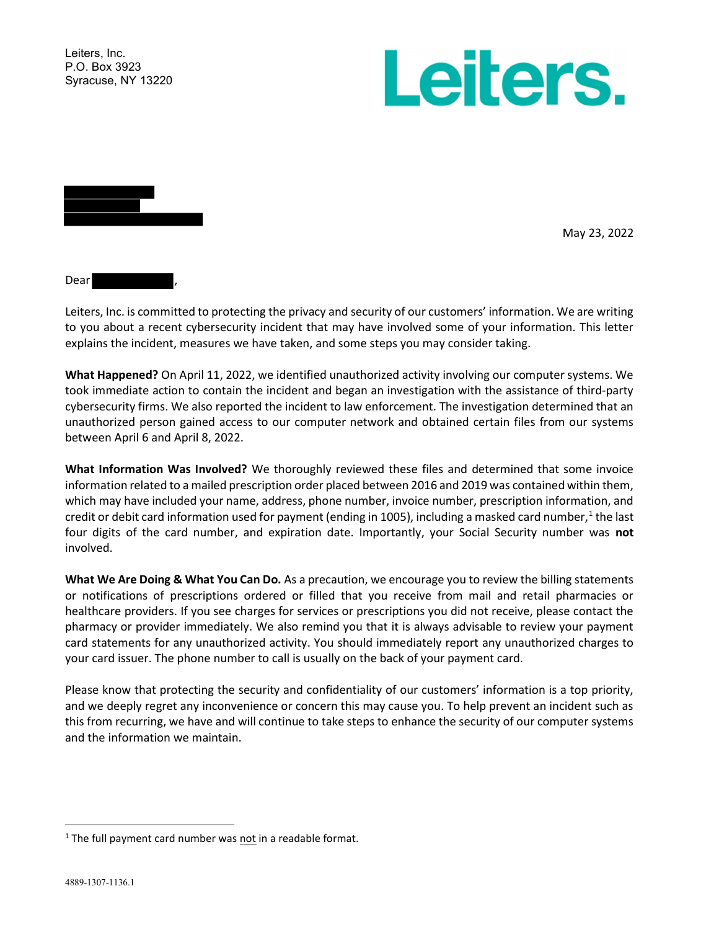Leiters, Inc. P.O. Box 3923 Syracuse, NY 13220





May 23, 2022

Dear

Leiters, Inc. is committed to protecting the privacy and security of our customers' information. We are writing to you about a recent cybersecurity incident that may have involved some of your information. This letter explains the incident, measures we have taken, and some steps you may consider taking.

What Happened? On April 11, 2022, we identified unauthorized activity involving our computer systems. We took immediate action to contain the incident and began an investigation with the assistance of third-party cybersecurity firms. We also reported the incident to law enforcement. The investigation determined that an unauthorized person gained access to our computer network and obtained certain files from our systems between April 6 and April 8, 2022.

What Information Was Involved? We thoroughly reviewed these files and determined that some invoice information related to a mailed prescription order placed between 2016 and 2019 was contained within them, which may have included your name, address, phone number, invoice number, prescription information, and credit or debit card information used for payment (ending in 1005), including a masked card number,<sup>1</sup> the last four digits of the card number, and expiration date. Importantly, your Social Security number was not involved.

What We Are Doing & What You Can Do. As a precaution, we encourage you to review the billing statements or notifications of prescriptions ordered or filled that you receive from mail and retail pharmacies or healthcare providers. If you see charges for services or prescriptions you did not receive, please contact the pharmacy or provider immediately. We also remind you that it is always advisable to review your payment card statements for any unauthorized activity. You should immediately report any unauthorized charges to your card issuer. The phone number to call is usually on the back of your payment card.

Please know that protecting the security and confidentiality of our customers' information is a top priority, and we deeply regret any inconvenience or concern this may cause you. To help prevent an incident such as this from recurring, we have and will continue to take steps to enhance the security of our computer systems and the information we maintain.

<sup>&</sup>lt;sup>1</sup> The full payment card number was not in a readable format.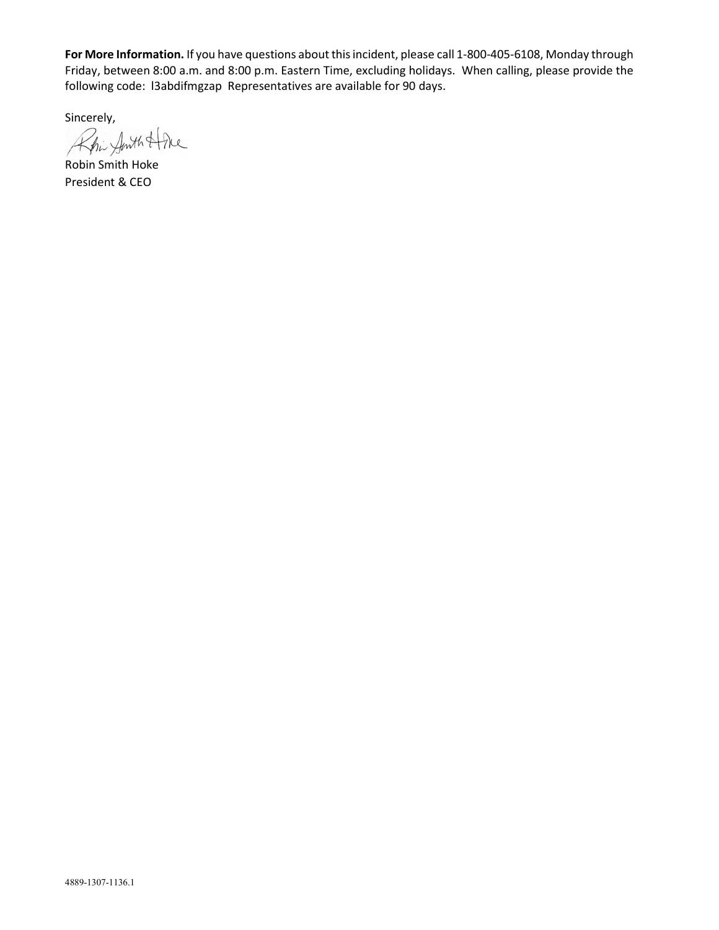For More Information. If you have questions about this incident, please call 1-800-405-6108, Monday through Friday, between 8:00 a.m. and 8:00 p.m. Eastern Time, excluding holidays. When calling, please provide the following code: l3abdifmgzap Representatives are available for 90 days.

Sincerely,

Rhi Amth Hone

Robin Smith Hoke President & CEO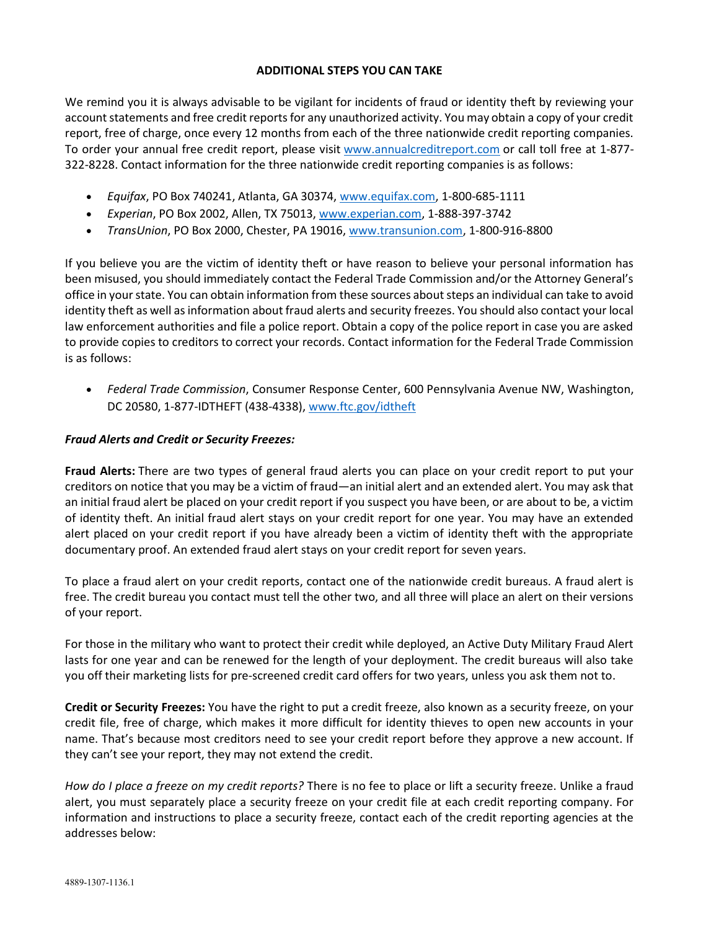## ADDITIONAL STEPS YOU CAN TAKE

We remind you it is always advisable to be vigilant for incidents of fraud or identity theft by reviewing your account statements and free credit reports for any unauthorized activity. You may obtain a copy of your credit report, free of charge, once every 12 months from each of the three nationwide credit reporting companies. To order your annual free credit report, please visit www.annualcreditreport.com or call toll free at 1-877- 322-8228. Contact information for the three nationwide credit reporting companies is as follows:

- Equifax, PO Box 740241, Atlanta, GA 30374, www.equifax.com, 1-800-685-1111
- Experian, PO Box 2002, Allen, TX 75013, www.experian.com, 1-888-397-3742
- TransUnion, PO Box 2000, Chester, PA 19016, www.transunion.com, 1-800-916-8800

If you believe you are the victim of identity theft or have reason to believe your personal information has been misused, you should immediately contact the Federal Trade Commission and/or the Attorney General's office in your state. You can obtain information from these sources about steps an individual can take to avoid identity theft as well as information about fraud alerts and security freezes. You should also contact your local law enforcement authorities and file a police report. Obtain a copy of the police report in case you are asked to provide copies to creditors to correct your records. Contact information for the Federal Trade Commission is as follows:

• Federal Trade Commission, Consumer Response Center, 600 Pennsylvania Avenue NW, Washington, DC 20580, 1-877-IDTHEFT (438-4338), www.ftc.gov/idtheft

## Fraud Alerts and Credit or Security Freezes:

Fraud Alerts: There are two types of general fraud alerts you can place on your credit report to put your creditors on notice that you may be a victim of fraud—an initial alert and an extended alert. You may ask that an initial fraud alert be placed on your credit report if you suspect you have been, or are about to be, a victim of identity theft. An initial fraud alert stays on your credit report for one year. You may have an extended alert placed on your credit report if you have already been a victim of identity theft with the appropriate documentary proof. An extended fraud alert stays on your credit report for seven years.

To place a fraud alert on your credit reports, contact one of the nationwide credit bureaus. A fraud alert is free. The credit bureau you contact must tell the other two, and all three will place an alert on their versions of your report.

For those in the military who want to protect their credit while deployed, an Active Duty Military Fraud Alert lasts for one year and can be renewed for the length of your deployment. The credit bureaus will also take you off their marketing lists for pre-screened credit card offers for two years, unless you ask them not to.

Credit or Security Freezes: You have the right to put a credit freeze, also known as a security freeze, on your credit file, free of charge, which makes it more difficult for identity thieves to open new accounts in your name. That's because most creditors need to see your credit report before they approve a new account. If they can't see your report, they may not extend the credit.

How do I place a freeze on my credit reports? There is no fee to place or lift a security freeze. Unlike a fraud alert, you must separately place a security freeze on your credit file at each credit reporting company. For information and instructions to place a security freeze, contact each of the credit reporting agencies at the addresses below: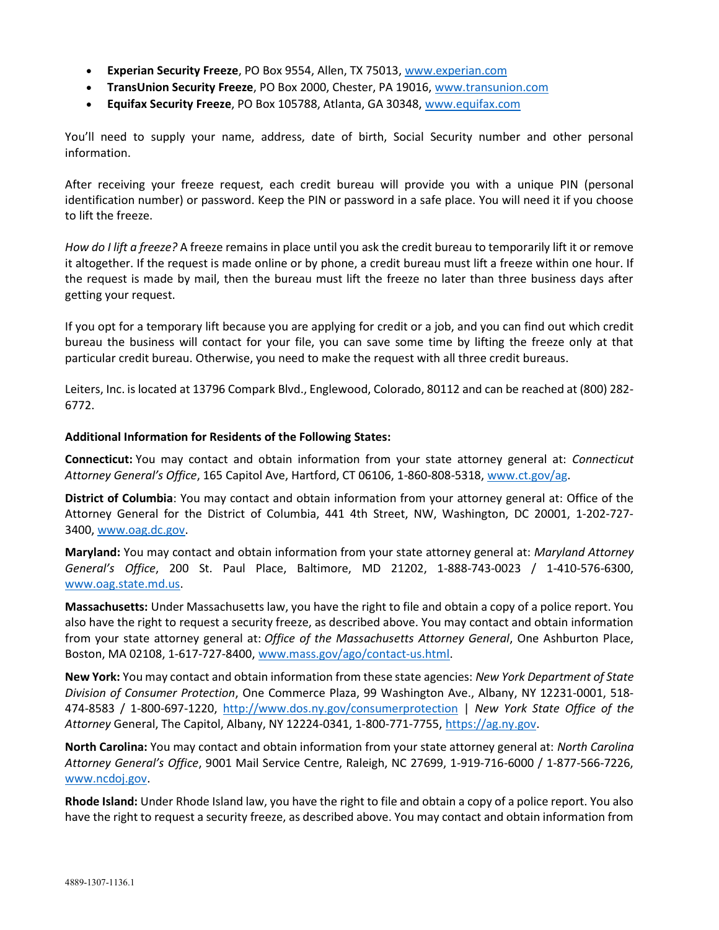- Experian Security Freeze, PO Box 9554, Allen, TX 75013, www.experian.com
- TransUnion Security Freeze, PO Box 2000, Chester, PA 19016, www.transunion.com
- Equifax Security Freeze, PO Box 105788, Atlanta, GA 30348, www.equifax.com

You'll need to supply your name, address, date of birth, Social Security number and other personal information.

After receiving your freeze request, each credit bureau will provide you with a unique PIN (personal identification number) or password. Keep the PIN or password in a safe place. You will need it if you choose to lift the freeze.

How do I lift a freeze? A freeze remains in place until you ask the credit bureau to temporarily lift it or remove it altogether. If the request is made online or by phone, a credit bureau must lift a freeze within one hour. If the request is made by mail, then the bureau must lift the freeze no later than three business days after getting your request.

If you opt for a temporary lift because you are applying for credit or a job, and you can find out which credit bureau the business will contact for your file, you can save some time by lifting the freeze only at that particular credit bureau. Otherwise, you need to make the request with all three credit bureaus.

Leiters, Inc. is located at 13796 Compark Blvd., Englewood, Colorado, 80112 and can be reached at (800) 282- 6772.

## Additional Information for Residents of the Following States:

Connecticut: You may contact and obtain information from your state attorney general at: Connecticut Attorney General's Office, 165 Capitol Ave, Hartford, CT 06106, 1-860-808-5318, www.ct.gov/ag.

District of Columbia: You may contact and obtain information from your attorney general at: Office of the Attorney General for the District of Columbia, 441 4th Street, NW, Washington, DC 20001, 1-202-727- 3400, www.oag.dc.gov.

Maryland: You may contact and obtain information from your state attorney general at: Maryland Attorney General's Office, 200 St. Paul Place, Baltimore, MD 21202, 1-888-743-0023 / 1-410-576-6300, www.oag.state.md.us.

Massachusetts: Under Massachusetts law, you have the right to file and obtain a copy of a police report. You also have the right to request a security freeze, as described above. You may contact and obtain information from your state attorney general at: Office of the Massachusetts Attorney General, One Ashburton Place, Boston, MA 02108, 1-617-727-8400, www.mass.gov/ago/contact-us.html.

New York: You may contact and obtain information from these state agencies: New York Department of State Division of Consumer Protection, One Commerce Plaza, 99 Washington Ave., Albany, NY 12231-0001, 518- 474-8583 / 1-800-697-1220, http://www.dos.ny.gov/consumerprotection | New York State Office of the Attorney General, The Capitol, Albany, NY 12224-0341, 1-800-771-7755, https://ag.ny.gov.

North Carolina: You may contact and obtain information from your state attorney general at: North Carolina Attorney General's Office, 9001 Mail Service Centre, Raleigh, NC 27699, 1-919-716-6000 / 1-877-566-7226, www.ncdoj.gov.

Rhode Island: Under Rhode Island law, you have the right to file and obtain a copy of a police report. You also have the right to request a security freeze, as described above. You may contact and obtain information from